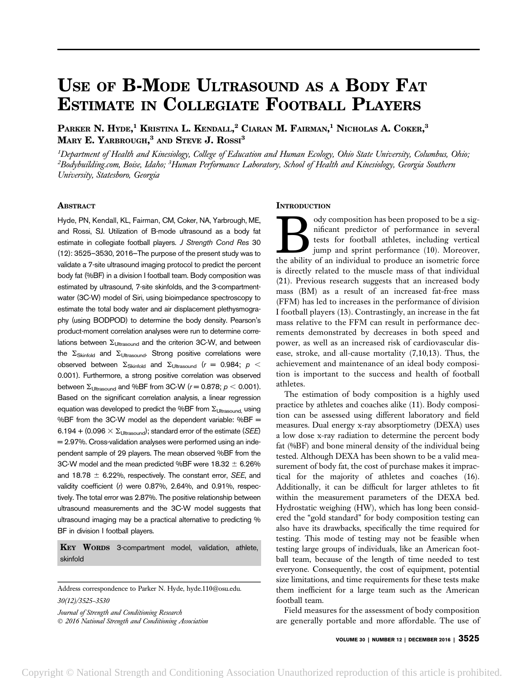# USE OF B-MODE ULTRASOUND AS A BODY FAT ESTIMATE IN COLLEGIATE FOOTBALL PLAYERS

Parker N. Hyde,<sup>1</sup> Kristina L. Kendall,<sup>2</sup> Ciaran M. Fairman,<sup>1</sup> Nicholas A. Coker,<sup>3</sup>  $\,$ Mary E. Yarbrough, $^3$  and Steve J.  $\,$   $\rm{Rossl}^3$ 

 $^1$ Department of Health and Kinesiology, College of Education and Human Ecology, Ohio State University, Columbus, Ohio; <sup>2</sup>Bodybuilding.com, Boise, Idaho; <sup>3</sup>Human Performance Laboratory, School of Health and Kinesiology, Georgia Southern University, Statesboro, Georgia

## ABSTRACT

Hyde, PN, Kendall, KL, Fairman, CM, Coker, NA, Yarbrough, ME, and Rossi, SJ. Utilization of B-mode ultrasound as a body fat estimate in collegiate football players. J Strength Cond Res 30 (12): 3525–3530, 2016—The purpose of the present study was to validate a 7-site ultrasound imaging protocol to predict the percent body fat (%BF) in a division I football team. Body composition was estimated by ultrasound, 7-site skinfolds, and the 3-compartmentwater (3C-W) model of Siri, using bioimpedance spectroscopy to estimate the total body water and air displacement plethysmography (using BODPOD) to determine the body density. Pearson's product-moment correlation analyses were run to determine correlations between  $\Sigma_{\text{Ultrasound}}$  and the criterion 3C-W, and between the  $\Sigma_{\text{Skinfold}}$  and  $\Sigma_{\text{Ultrasound}}$ . Strong positive correlations were observed between  $\Sigma_{\text{Skinfold}}$  and  $\Sigma_{\text{Ultrassound}}$  (r = 0.984;  $p <$ 0.001). Furthermore, a strong positive correlation was observed between  $\Sigma_{\text{Ultrassound}}$  and %BF from 3C-W ( $r = 0.878$ ;  $p < 0.001$ ). Based on the significant correlation analysis, a linear regression equation was developed to predict the %BF from  $\Sigma_{\text{Ultrasonold}}$  using %BF from the 3C-W model as the dependent variable: %BF = 6.194 + (0.096  $\times$   $\Sigma_{\text{Ultrasoned}}$ ); standard error of the estimate (*SEE*) = 2.97%. Cross-validation analyses were performed using an independent sample of 29 players. The mean observed %BF from the 3C-W model and the mean predicted %BF were  $18.32 \pm 6.26\%$ and 18.78  $\pm$  6.22%, respectively. The constant error, SEE, and validity coefficient (r) were 0.87%, 2.64%, and 0.91%, respectively. The total error was 2.87%. The positive relationship between ultrasound measurements and the 3C-W model suggests that ultrasound imaging may be a practical alternative to predicting % BF in division I football players.

KEY WORDS 3-compartment model, validation, athlete, skinfold

Address correspondence to Parker N. Hyde, hyde.110@osu.edu. 30(12)/3525–3530

Journal of Strength and Conditioning Research 2016 National Strength and Conditioning Association

### **INTRODUCTION**

ody composition has been proposed to be a significant predictor of performance in several<br>tests for football athletes, including vertical<br>jump and sprint performance (10). Moreover,<br>the ability of an individual to produce nificant predictor of performance in several tests for football athletes, including vertical jump and sprint performance (10). Moreover, the ability of an individual to produce an isometric force is directly related to the muscle mass of that individual (21). Previous research suggests that an increased body mass (BM) as a result of an increased fat-free mass (FFM) has led to increases in the performance of division I football players (13). Contrastingly, an increase in the fat mass relative to the FFM can result in performance decrements demonstrated by decreases in both speed and power, as well as an increased risk of cardiovascular disease, stroke, and all-cause mortality (7,10,13). Thus, the achievement and maintenance of an ideal body composition is important to the success and health of football athletes.

The estimation of body composition is a highly used practice by athletes and coaches alike (11). Body composition can be assessed using different laboratory and field measures. Dual energy x-ray absorptiometry (DEXA) uses a low dose x-ray radiation to determine the percent body fat (%BF) and bone mineral density of the individual being tested. Although DEXA has been shown to be a valid measurement of body fat, the cost of purchase makes it impractical for the majority of athletes and coaches (16). Additionally, it can be difficult for larger athletes to fit within the measurement parameters of the DEXA bed. Hydrostatic weighing (HW), which has long been considered the "gold standard" for body composition testing can also have its drawbacks, specifically the time required for testing. This mode of testing may not be feasible when testing large groups of individuals, like an American football team, because of the length of time needed to test everyone. Consequently, the cost of equipment, potential size limitations, and time requirements for these tests make them inefficient for a large team such as the American football team.

Field measures for the assessment of body composition are generally portable and more affordable. The use of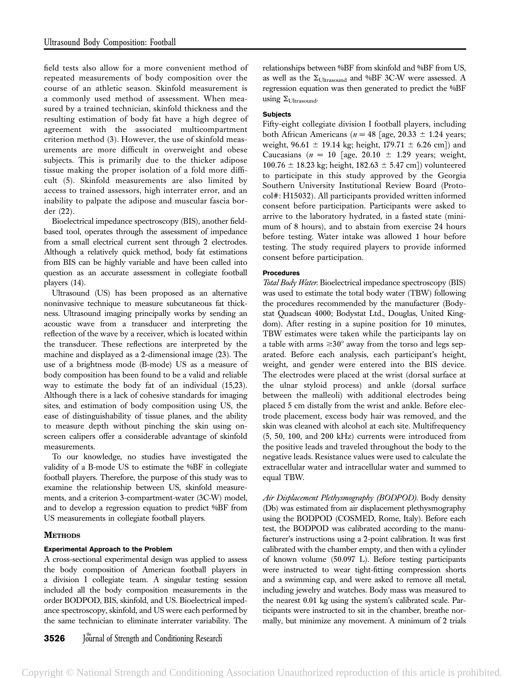field tests also allow for a more convenient method of repeated measurements of body composition over the course of an athletic season. Skinfold measurement is a commonly used method of assessment. When measured by a trained technician, skinfold thickness and the resulting estimation of body fat have a high degree of agreement with the associated multicompartment criterion method (3). However, the use of skinfold measurements are more difficult in overweight and obese subjects. This is primarily due to the thicker adipose tissue making the proper isolation of a fold more difficult (5). Skinfold measurements are also limited by access to trained assessors, high interrater error, and an inability to palpate the adipose and muscular fascia border (22).

Bioelectrical impedance spectroscopy (BIS), another fieldbased tool, operates through the assessment of impedance from a small electrical current sent through 2 electrodes. Although a relatively quick method, body fat estimations from BIS can be highly variable and have been called into question as an accurate assessment in collegiate football players (14).

Ultrasound (US) has been proposed as an alternative noninvasive technique to measure subcutaneous fat thickness. Ultrasound imaging principally works by sending an acoustic wave from a transducer and interpreting the reflection of the wave by a receiver, which is located within the transducer. These reflections are interpreted by the machine and displayed as a 2-dimensional image (23). The use of a brightness mode (B-mode) US as a measure of body composition has been found to be a valid and reliable way to estimate the body fat of an individual (15,23). Although there is a lack of cohesive standards for imaging sites, and estimation of body composition using US, the ease of distinguishability of tissue planes, and the ability to measure depth without pinching the skin using onscreen calipers offer a considerable advantage of skinfold measurements.

To our knowledge, no studies have investigated the validity of a B-mode US to estimate the %BF in collegiate football players. Therefore, the purpose of this study was to examine the relationship between US, skinfold measurements, and a criterion 3-compartment-water (3C-W) model, and to develop a regression equation to predict %BF from US measurements in collegiate football players.

# **METHODS**

# Experimental Approach to the Problem

A cross-sectional experimental design was applied to assess the body composition of American football players in a division I collegiate team. A singular testing session included all the body composition measurements in the order BODPOD, BIS, skinfold, and US. Bioelectrical impedance spectroscopy, skinfold, and US were each performed by the same technician to eliminate interrater variability. The relationships between %BF from skinfold and %BF from US, as well as the  $\Sigma_{\text{Ultrasound}}$  and %BF 3C-W were assessed. A regression equation was then generated to predict the %BF using  $\Sigma_{\text{Ultrasound}}$ .

## **Subjects**

Fifty-eight collegiate division I football players, including both African Americans ( $n = 48$  [age, 20.33  $\pm$  1.24 years; weight,  $96.61 \pm 19.14$  kg; height,  $179.71 \pm 6.26$  cm]) and Caucasians ( $n = 10$  [age, 20.10  $\pm$  1.29 years; weight,  $100.76 \pm 18.23$  kg; height,  $182.63 \pm 5.47$  cm]) volunteered to participate in this study approved by the Georgia Southern University Institutional Review Board (Protocol#: H15032). All participants provided written informed consent before participation. Participants were asked to arrive to the laboratory hydrated, in a fasted state (minimum of 8 hours), and to abstain from exercise 24 hours before testing. Water intake was allowed 1 hour before testing. The study required players to provide informed consent before participation.

## Procedures

Total Body Water. Bioelectrical impedance spectroscopy (BIS) was used to estimate the total body water (TBW) following the procedures recommended by the manufacturer (Bodystat Quadscan 4000; Bodystat Ltd., Douglas, United Kingdom). After resting in a supine position for 10 minutes, TBW estimates were taken while the participants lay on a table with arms  $\geq 30^{\circ}$  away from the torso and legs separated. Before each analysis, each participant's height, weight, and gender were entered into the BIS device. The electrodes were placed at the wrist (dorsal surface at the ulnar styloid process) and ankle (dorsal surface between the malleoli) with additional electrodes being placed 5 cm distally from the wrist and ankle. Before electrode placement, excess body hair was removed, and the skin was cleaned with alcohol at each site. Multifrequency (5, 50, 100, and 200 kHz) currents were introduced from the positive leads and traveled throughout the body to the negative leads. Resistance values were used to calculate the extracellular water and intracellular water and summed to equal TBW.

Air Displacement Plethysmography (BODPOD). Body density (Db) was estimated from air displacement plethysmography using the BODPOD (COSMED, Rome, Italy). Before each test, the BODPOD was calibrated according to the manufacturer's instructions using a 2-point calibration. It was first calibrated with the chamber empty, and then with a cylinder of known volume (50.097 L). Before testing participants were instructed to wear tight-fitting compression shorts and a swimming cap, and were asked to remove all metal, including jewelry and watches. Body mass was measured to the nearest 0.01 kg using the system's calibrated scale. Participants were instructed to sit in the chamber, breathe normally, but minimize any movement. A minimum of 2 trials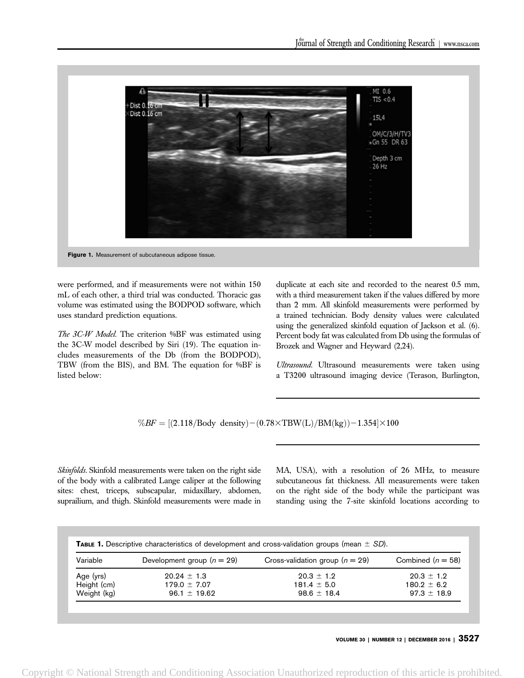

were performed, and if measurements were not within 150 mL of each other, a third trial was conducted. Thoracic gas volume was estimated using the BODPOD software, which uses standard prediction equations.

The 3C-W Model. The criterion %BF was estimated using the 3C-W model described by Siri (19). The equation includes measurements of the Db (from the BODPOD), TBW (from the BIS), and BM. The equation for %BF is listed below:

duplicate at each site and recorded to the nearest 0.5 mm, with a third measurement taken if the values differed by more than 2 mm. All skinfold measurements were performed by a trained technician. Body density values were calculated using the generalized skinfold equation of Jackson et al. (6). Percent body fat was calculated from Db using the formulas of Brozek and Wagner and Heyward (2,24).

Ultrasound. Ultrasound measurements were taken using a T3200 ultrasound imaging device (Terason, Burlington,

 $\%BF = [(2.118/Body density)-(0.78\times\text{TBW}(L)/BM(kg))-1.354]\times100$ 

Skinfolds. Skinfold measurements were taken on the right side of the body with a calibrated Lange caliper at the following sites: chest, triceps, subscapular, midaxillary, abdomen, suprailium, and thigh. Skinfold measurements were made in MA, USA), with a resolution of 26 MHz, to measure subcutaneous fat thickness. All measurements were taken on the right side of the body while the participant was standing using the 7-site skinfold locations according to

|  |  | <b>TABLE 1.</b> Descriptive characteristics of development and cross-validation groups (mean $\pm$ SD). |
|--|--|---------------------------------------------------------------------------------------------------------|
|--|--|---------------------------------------------------------------------------------------------------------|

| Variable    | Development group $(n = 29)$ | Cross-validation group ( $n = 29$ ) | Combined $(n = 58)$ |
|-------------|------------------------------|-------------------------------------|---------------------|
| Age (yrs)   | $20.24 \pm 1.3$              | $20.3 \pm 1.2$                      | $20.3 \pm 1.2$      |
| Height (cm) | $179.0 \pm 7.07$             | $181.4 \pm 5.0$                     | $180.2 + 6.2$       |
| Weight (kg) | $96.1 \pm 19.62$             | $98.6 \pm 18.4$                     | $97.3 \pm 18.9$     |

VOLUME 30 | NUMBER 12 | DECEMBER 2016 | 3527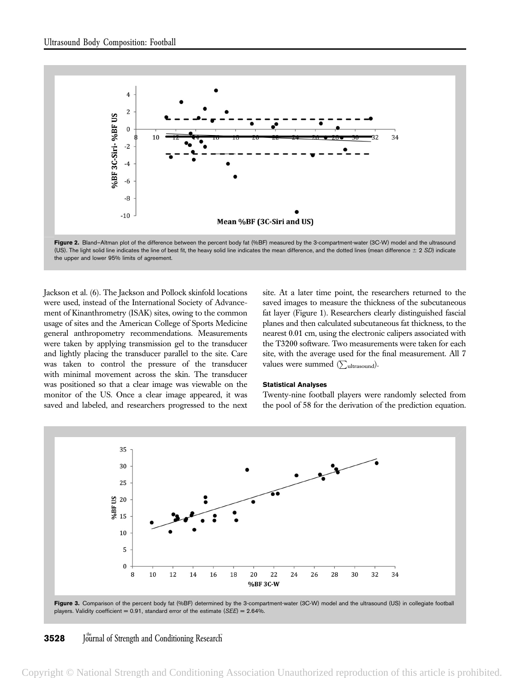

Figure 2. Bland–Altman plot of the difference between the percent body fat (%BF) measured by the 3-compartment-water (3C-W) model and the ultrasound (US). The light solid line indicates the line of best fit, the heavy solid line indicates the mean difference, and the dotted lines (mean difference  $\pm$  2 SD) indicate the upper and lower 95% limits of agreement.

Jackson et al. (6). The Jackson and Pollock skinfold locations were used, instead of the International Society of Advancement of Kinanthrometry (ISAK) sites, owing to the common usage of sites and the American College of Sports Medicine general anthropometry recommendations. Measurements were taken by applying transmission gel to the transducer and lightly placing the transducer parallel to the site. Care was taken to control the pressure of the transducer with minimal movement across the skin. The transducer was positioned so that a clear image was viewable on the monitor of the US. Once a clear image appeared, it was saved and labeled, and researchers progressed to the next site. At a later time point, the researchers returned to the saved images to measure the thickness of the subcutaneous fat layer (Figure 1). Researchers clearly distinguished fascial planes and then calculated subcutaneous fat thickness, to the nearest 0.01 cm, using the electronic calipers associated with the T3200 software. Two measurements were taken for each site, with the average used for the final measurement. All 7 values were summed  $(\sum_{ultrasound})$ .

#### Statistical Analyses

Twenty-nine football players were randomly selected from the pool of 58 for the derivation of the prediction equation.



Figure 3. Comparison of the percent body fat (%BF) determined by the 3-compartment-water (3C-W) model and the ultrasound (US) in collegiate football players. Validity coefficient = 0.91, standard error of the estimate ( $SEE$ ) = 2.64%.

# **3528** Journal of Strength and Conditioning Research

Copyright © National Strength and Conditioning Association Unauthorized reproduction of this article is prohibited.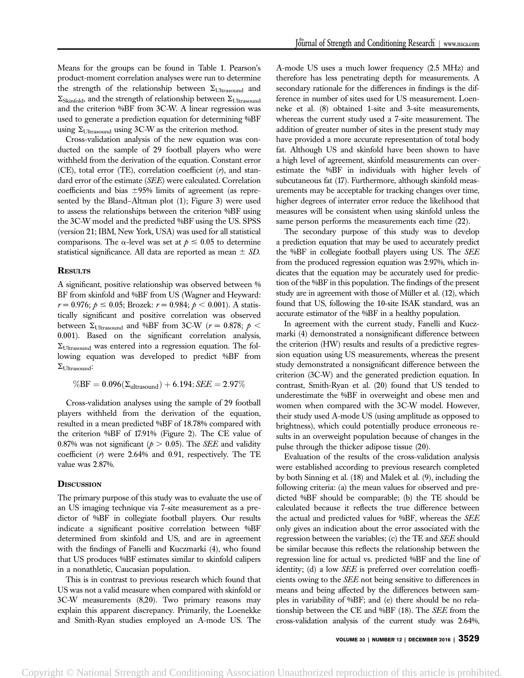Means for the groups can be found in Table 1. Pearson's product-moment correlation analyses were run to determine the strength of the relationship between  $\Sigma_{\text{Utrasound}}$  and  $\Sigma_{\text{Skinfold}}$ , and the strength of relationship between  $\Sigma_{\text{Ultrasound}}$ and the criterion %BF from 3C-W. A linear regression was used to generate a prediction equation for determining %BF using  $\Sigma_{\text{Ultrasound}}$  using 3C-W as the criterion method.

Cross-validation analysis of the new equation was conducted on the sample of 29 football players who were withheld from the derivation of the equation. Constant error (CE), total error (TE), correlation coefficient  $(r)$ , and standard error of the estimate (SEE) were calculated. Correlation coefficients and bias  $\pm 95\%$  limits of agreement (as represented by the Bland–Altman plot (1); Figure 3) were used to assess the relationships between the criterion %BF using the 3C-W model and the predicted %BF using the US. SPSS (version 21; IBM, New York, USA) was used for all statistical comparisons. The  $\alpha$ -level was set at  $p \leq 0.05$  to determine statistical significance. All data are reported as mean  $\pm$  SD.

# **RESULTS**

A significant, positive relationship was observed between % BF from skinfold and %BF from US (Wagner and Heyward:  $r = 0.976$ ;  $p \le 0.05$ ; Brozek:  $r = 0.984$ ;  $p < 0.001$ ). A statistically significant and positive correlation was observed between  $\Sigma_{\text{Ultrasound}}$  and %BF from 3C-W ( $r = 0.878$ ;  $\rho$  < 0.001). Based on the significant correlation analysis,  $\Sigma_{\text{Ultrassound}}$  was entered into a regression equation. The following equation was developed to predict %BF from  $\Sigma_{\text{Ultrasound}}$ :

$$
\%BF=0.096(\Sigma_{ultrasound})+6.194; \textit{SEE}=2.97\%
$$

Cross-validation analyses using the sample of 29 football players withheld from the derivation of the equation, resulted in a mean predicted %BF of 18.78% compared with the criterion %BF of 17.91% (Figure 2). The CE value of 0.87% was not significant ( $p > 0.05$ ). The *SEE* and validity coefficient  $(r)$  were 2.64% and 0.91, respectively. The TE value was 2.87%.

## **DISCUSSION**

The primary purpose of this study was to evaluate the use of an US imaging technique via 7-site measurement as a predictor of %BF in collegiate football players. Our results indicate a significant positive correlation between %BF determined from skinfold and US, and are in agreement with the findings of Fanelli and Kuczmarki (4), who found that US produces %BF estimates similar to skinfold calipers in a nonathletic, Caucasian population.

This is in contrast to previous research which found that US was not a valid measure when compared with skinfold or 3C-W measurements (8,20). Two primary reasons may explain this apparent discrepancy. Primarily, the Loenekke and Smith-Ryan studies employed an A-mode US. The

A-mode US uses a much lower frequency (2.5 MHz) and therefore has less penetrating depth for measurements. A secondary rationale for the differences in findings is the difference in number of sites used for US measurement. Loenneke et al. (8) obtained 1-site and 3-site measurements, whereas the current study used a 7-site measurement. The addition of greater number of sites in the present study may have provided a more accurate representation of total body fat. Although US and skinfold have been shown to have a high level of agreement, skinfold measurements can overestimate the %BF in individuals with higher levels of subcutaneous fat (17). Furthermore, although skinfold measurements may be acceptable for tracking changes over time, higher degrees of interrater error reduce the likelihood that measures will be consistent when using skinfold unless the same person performs the measurements each time (22).

The secondary purpose of this study was to develop a prediction equation that may be used to accurately predict the %BF in collegiate football players using US. The SEE from the produced regression equation was 2.97%, which indicates that the equation may be accurately used for prediction of the %BF in this population. The findings of the present study are in agreement with those of Müller et al. (12), which found that US, following the 10-site ISAK standard, was an accurate estimator of the %BF in a healthy population.

In agreement with the current study, Fanelli and Kuczmarki (4) demonstrated a nonsignificant difference between the criterion (HW) results and results of a predictive regression equation using US measurements, whereas the present study demonstrated a nonsignificant difference between the criterion (3C-W) and the generated prediction equation. In contrast, Smith-Ryan et al. (20) found that US tended to underestimate the %BF in overweight and obese men and women when compared with the 3C-W model. However, their study used A-mode US (using amplitude as opposed to brightness), which could potentially produce erroneous results in an overweight population because of changes in the pulse through the thicker adipose tissue (20).

Evaluation of the results of the cross-validation analysis were established according to previous research completed by both Sinning et al. (18) and Malek et al. (9), including the following criteria: (a) the mean values for observed and predicted %BF should be comparable; (b) the TE should be calculated because it reflects the true difference between the actual and predicted values for %BF, whereas the SEE only gives an indication about the error associated with the regression between the variables; (c) the TE and SEE should be similar because this reflects the relationship between the regression line for actual vs. predicted %BF and the line of identity; (d) a low SEE is preferred over correlation coefficients owing to the SEE not being sensitive to differences in means and being affected by the differences between samples in variability of %BF; and (e) there should be no relationship between the CE and %BF (18). The SEE from the cross-validation analysis of the current study was 2.64%,